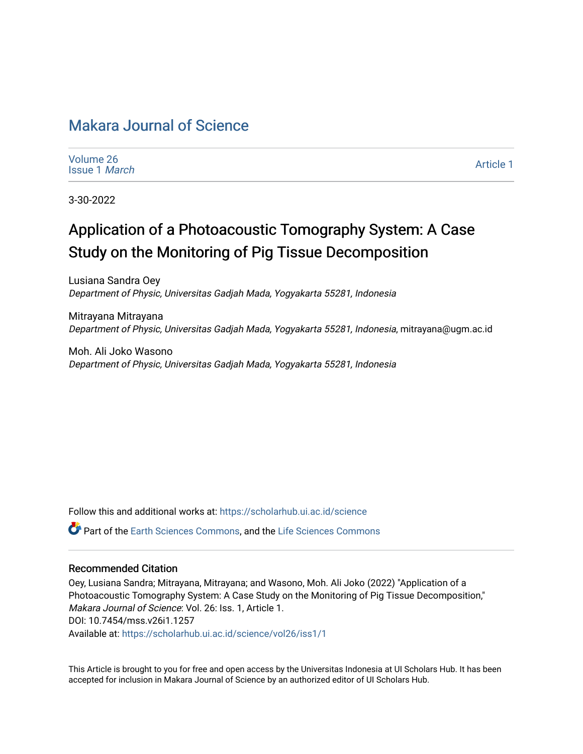## [Makara Journal of Science](https://scholarhub.ui.ac.id/science)

| Volume 26 |                      |
|-----------|----------------------|
|           | <b>Issue 1 March</b> |

[Article 1](https://scholarhub.ui.ac.id/science/vol26/iss1/1) 

3-30-2022

# Application of a Photoacoustic Tomography System: A Case Study on the Monitoring of Pig Tissue Decomposition

Lusiana Sandra Oey Department of Physic, Universitas Gadjah Mada, Yogyakarta 55281, Indonesia

Mitrayana Mitrayana Department of Physic, Universitas Gadjah Mada, Yogyakarta 55281, Indonesia, mitrayana@ugm.ac.id

Moh. Ali Joko Wasono Department of Physic, Universitas Gadjah Mada, Yogyakarta 55281, Indonesia

Follow this and additional works at: [https://scholarhub.ui.ac.id/science](https://scholarhub.ui.ac.id/science?utm_source=scholarhub.ui.ac.id%2Fscience%2Fvol26%2Fiss1%2F1&utm_medium=PDF&utm_campaign=PDFCoverPages) 

Part of the [Earth Sciences Commons,](http://network.bepress.com/hgg/discipline/153?utm_source=scholarhub.ui.ac.id%2Fscience%2Fvol26%2Fiss1%2F1&utm_medium=PDF&utm_campaign=PDFCoverPages) and the [Life Sciences Commons](http://network.bepress.com/hgg/discipline/1016?utm_source=scholarhub.ui.ac.id%2Fscience%2Fvol26%2Fiss1%2F1&utm_medium=PDF&utm_campaign=PDFCoverPages) 

#### Recommended Citation

Oey, Lusiana Sandra; Mitrayana, Mitrayana; and Wasono, Moh. Ali Joko (2022) "Application of a Photoacoustic Tomography System: A Case Study on the Monitoring of Pig Tissue Decomposition," Makara Journal of Science: Vol. 26: Iss. 1, Article 1. DOI: 10.7454/mss.v26i1.1257 Available at: [https://scholarhub.ui.ac.id/science/vol26/iss1/1](https://scholarhub.ui.ac.id/science/vol26/iss1/1?utm_source=scholarhub.ui.ac.id%2Fscience%2Fvol26%2Fiss1%2F1&utm_medium=PDF&utm_campaign=PDFCoverPages)

This Article is brought to you for free and open access by the Universitas Indonesia at UI Scholars Hub. It has been accepted for inclusion in Makara Journal of Science by an authorized editor of UI Scholars Hub.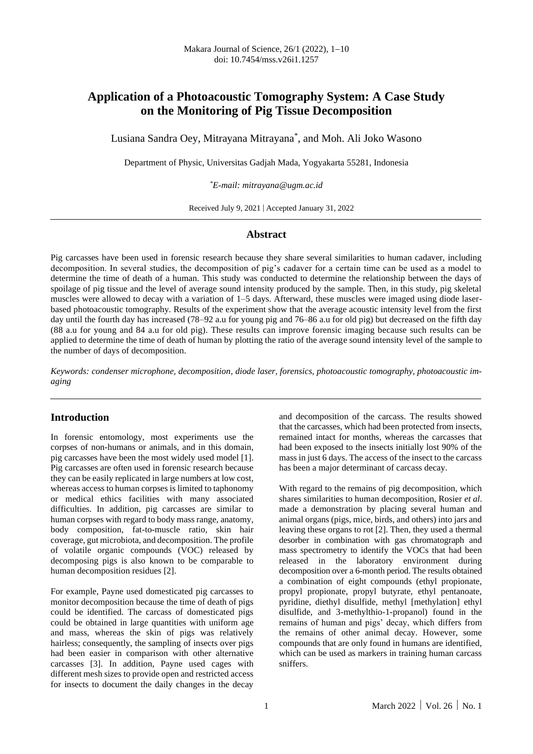### **Application of a Photoacoustic Tomography System: A Case Study on the Monitoring of Pig Tissue Decomposition**

Lusiana Sandra Oey, Mitrayana Mitrayana\* , and Moh. Ali Joko Wasono

Department of Physic, Universitas Gadjah Mada, Yogyakarta 55281, Indonesia

*\*E-mail: mitrayana@ugm.ac.id*

Received July 9, 2021 | Accepted January 31, 2022

#### **Abstract**

Pig carcasses have been used in forensic research because they share several similarities to human cadaver, including decomposition. In several studies, the decomposition of pig's cadaver for a certain time can be used as a model to determine the time of death of a human. This study was conducted to determine the relationship between the days of spoilage of pig tissue and the level of average sound intensity produced by the sample. Then, in this study, pig skeletal muscles were allowed to decay with a variation of 1–5 days. Afterward, these muscles were imaged using diode laserbased photoacoustic tomography. Results of the experiment show that the average acoustic intensity level from the first day until the fourth day has increased (78–92 a.u for young pig and 76–86 a.u for old pig) but decreased on the fifth day (88 a.u for young and 84 a.u for old pig). These results can improve forensic imaging because such results can be applied to determine the time of death of human by plotting the ratio of the average sound intensity level of the sample to the number of days of decomposition.

*Keywords: condenser microphone, decomposition, diode laser, forensics, photoacoustic tomography, photoacoustic imaging*

#### **Introduction**

In forensic entomology, most experiments use the corpses of non-humans or animals, and in this domain, pig carcasses have been the most widely used model [1]. Pig carcasses are often used in forensic research because they can be easily replicated in large numbers at low cost, whereas access to human corpses is limited to taphonomy or medical ethics facilities with many associated difficulties. In addition, pig carcasses are similar to human corpses with regard to body mass range, anatomy, body composition, fat-to-muscle ratio, skin hair coverage, gut microbiota, and decomposition. The profile of volatile organic compounds (VOC) released by decomposing pigs is also known to be comparable to human decomposition residues [2].

For example, Payne used domesticated pig carcasses to monitor decomposition because the time of death of pigs could be identified. The carcass of domesticated pigs could be obtained in large quantities with uniform age and mass, whereas the skin of pigs was relatively hairless; consequently, the sampling of insects over pigs had been easier in comparison with other alternative carcasses [3]. In addition, Payne used cages with different mesh sizes to provide open and restricted access for insects to document the daily changes in the decay

and decomposition of the carcass. The results showed that the carcasses, which had been protected from insects, remained intact for months, whereas the carcasses that had been exposed to the insects initially lost 90% of the mass in just 6 days. The access of the insect to the carcass has been a major determinant of carcass decay.

With regard to the remains of pig decomposition, which shares similarities to human decomposition, Rosier *et al*. made a demonstration by placing several human and animal organs (pigs, mice, birds, and others) into jars and leaving these organs to rot [2]. Then, they used a thermal desorber in combination with gas chromatograph and mass spectrometry to identify the VOCs that had been released in the laboratory environment during decomposition over a 6-month period. The results obtained a combination of eight compounds (ethyl propionate, propyl propionate, propyl butyrate, ethyl pentanoate, pyridine, diethyl disulfide, methyl [methylation] ethyl disulfide, and 3-methylthio-1-propanol) found in the remains of human and pigs' decay, which differs from the remains of other animal decay. However, some compounds that are only found in humans are identified, which can be used as markers in training human carcass sniffers.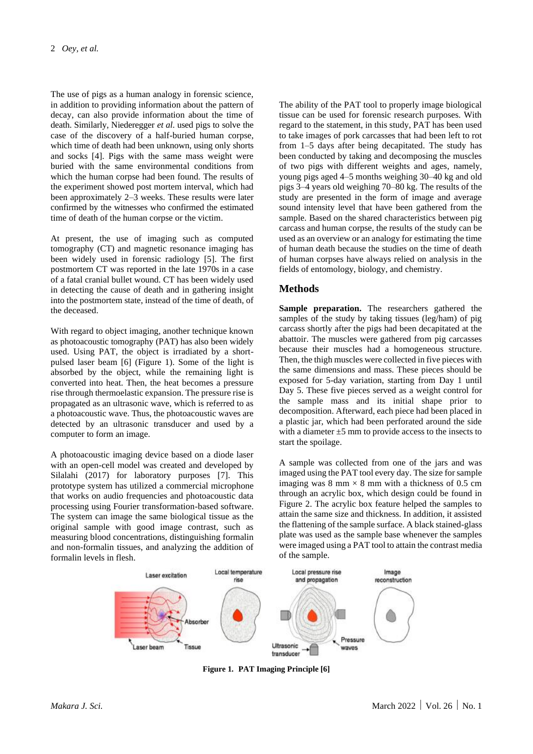The use of pigs as a human analogy in forensic science, in addition to providing information about the pattern of decay, can also provide information about the time of death. Similarly, Niederegger *et al*. used pigs to solve the case of the discovery of a half-buried human corpse, which time of death had been unknown, using only shorts and socks [4]. Pigs with the same mass weight were buried with the same environmental conditions from which the human corpse had been found. The results of the experiment showed post mortem interval, which had been approximately 2–3 weeks. These results were later confirmed by the witnesses who confirmed the estimated time of death of the human corpse or the victim.

At present, the use of imaging such as computed tomography (CT) and magnetic resonance imaging has been widely used in forensic radiology [5]. The first postmortem CT was reported in the late 1970s in a case of a fatal cranial bullet wound. CT has been widely used in detecting the cause of death and in gathering insight into the postmortem state, instead of the time of death, of the deceased.

With regard to object imaging, another technique known as photoacoustic tomography (PAT) has also been widely used. Using PAT, the object is irradiated by a shortpulsed laser beam [6] (Figure 1). Some of the light is absorbed by the object, while the remaining light is converted into heat. Then, the heat becomes a pressure rise through thermoelastic expansion. The pressure rise is propagated as an ultrasonic wave, which is referred to as a photoacoustic wave. Thus, the photoacoustic waves are detected by an ultrasonic transducer and used by a computer to form an image.

A photoacoustic imaging device based on a diode laser with an open-cell model was created and developed by Silalahi (2017) for laboratory purposes [7]. This prototype system has utilized a commercial microphone that works on audio frequencies and photoacoustic data processing using Fourier transformation-based software. The system can image the same biological tissue as the original sample with good image contrast, such as measuring blood concentrations, distinguishing formalin and non-formalin tissues, and analyzing the addition of formalin levels in flesh.

The ability of the PAT tool to properly image biological tissue can be used for forensic research purposes. With regard to the statement, in this study, PAT has been used to take images of pork carcasses that had been left to rot from 1–5 days after being decapitated. The study has been conducted by taking and decomposing the muscles of two pigs with different weights and ages, namely, young pigs aged 4–5 months weighing 30–40 kg and old pigs 3–4 years old weighing 70–80 kg. The results of the study are presented in the form of image and average sound intensity level that have been gathered from the sample. Based on the shared characteristics between pig carcass and human corpse, the results of the study can be used as an overview or an analogy for estimating the time of human death because the studies on the time of death of human corpses have always relied on analysis in the fields of entomology, biology, and chemistry.

#### **Methods**

Sample preparation. The researchers gathered the samples of the study by taking tissues (leg/ham) of pig carcass shortly after the pigs had been decapitated at the abattoir. The muscles were gathered from pig carcasses because their muscles had a homogeneous structure. Then, the thigh muscles were collected in five pieces with the same dimensions and mass. These pieces should be exposed for 5-day variation, starting from Day 1 until Day 5. These five pieces served as a weight control for the sample mass and its initial shape prior to decomposition. Afterward, each piece had been placed in a plastic jar, which had been perforated around the side with a diameter  $\pm 5$  mm to provide access to the insects to start the spoilage.

A sample was collected from one of the jars and was imaged using the PAT tool every day. The size for sample imaging was  $8 \text{ mm} \times 8 \text{ mm}$  with a thickness of 0.5 cm through an acrylic box, which design could be found in Figure 2. The acrylic box feature helped the samples to attain the same size and thickness. In addition, it assisted the flattening of the sample surface. A black stained-glass plate was used as the sample base whenever the samples were imaged using a PAT tool to attain the contrast media of the sample.



**Figure 1. PAT Imaging Principle [6]**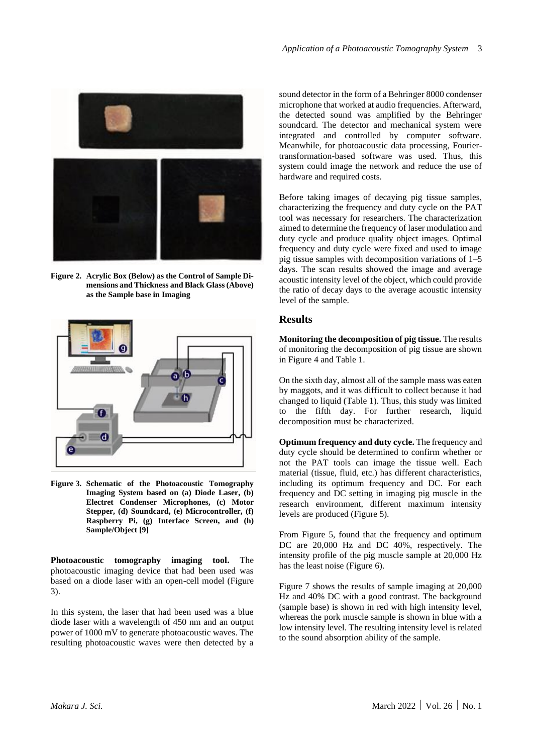

**Figure 2. Acrylic Box (Below) as the Control of Sample Dimensions and Thickness and Black Glass (Above) as the Sample base in Imaging**



**Figure 3. Schematic of the Photoacoustic Tomography Imaging System based on (a) Diode Laser, (b) Electret Condenser Microphones, (c) Motor Stepper, (d) Soundcard, (e) Microcontroller, (f) Raspberry Pi, (g) Interface Screen, and (h) Sample/Object [9]**

**Photoacoustic tomography imaging tool.** The photoacoustic imaging device that had been used was based on a diode laser with an open-cell model (Figure 3).

In this system, the laser that had been used was a blue diode laser with a wavelength of 450 nm and an output power of 1000 mV to generate photoacoustic waves. The resulting photoacoustic waves were then detected by a sound detector in the form of a Behringer 8000 condenser microphone that worked at audio frequencies. Afterward, the detected sound was amplified by the Behringer soundcard. The detector and mechanical system were integrated and controlled by computer software. Meanwhile, for photoacoustic data processing, Fouriertransformation-based software was used. Thus, this system could image the network and reduce the use of hardware and required costs.

Before taking images of decaying pig tissue samples, characterizing the frequency and duty cycle on the PAT tool was necessary for researchers. The characterization aimed to determine the frequency of laser modulation and duty cycle and produce quality object images. Optimal frequency and duty cycle were fixed and used to image pig tissue samples with decomposition variations of 1–5 days. The scan results showed the image and average acoustic intensity level of the object, which could provide the ratio of decay days to the average acoustic intensity level of the sample.

#### **Results**

**Monitoring the decomposition of pig tissue.** The results of monitoring the decomposition of pig tissue are shown in Figure 4 and Table 1.

On the sixth day, almost all of the sample mass was eaten by maggots, and it was difficult to collect because it had changed to liquid (Table 1). Thus, this study was limited to the fifth day. For further research, liquid decomposition must be characterized.

**Optimum frequency and duty cycle.** The frequency and duty cycle should be determined to confirm whether or not the PAT tools can image the tissue well. Each material (tissue, fluid, etc.) has different characteristics, including its optimum frequency and DC. For each frequency and DC setting in imaging pig muscle in the research environment, different maximum intensity levels are produced (Figure 5).

From Figure 5, found that the frequency and optimum DC are  $20,000$  Hz and DC 40%, respectively. The intensity profile of the pig muscle sample at 20,000 Hz has the least noise (Figure 6).

Figure 7 shows the results of sample imaging at 20,000 Hz and 40% DC with a good contrast. The background (sample base) is shown in red with high intensity level, whereas the pork muscle sample is shown in blue with a low intensity level. The resulting intensity level is related to the sound absorption ability of the sample.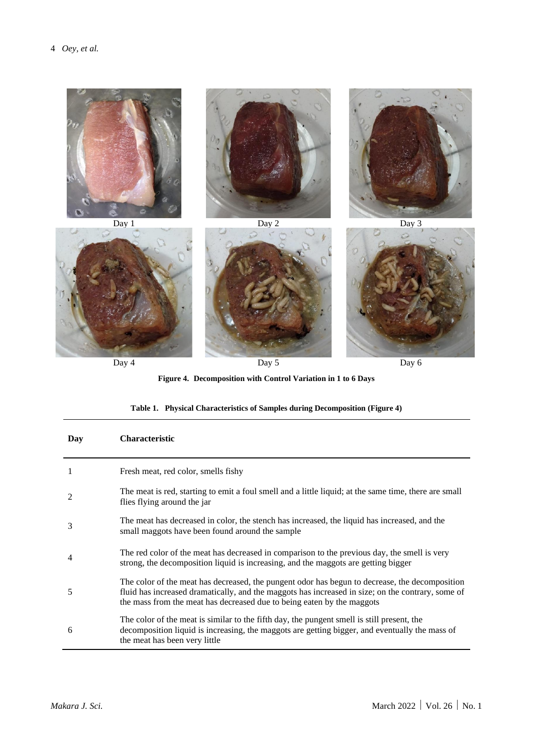

**Figure 4. Decomposition with Control Variation in 1 to 6 Days**

#### **Table 1. Physical Characteristics of Samples during Decomposition (Figure 4)**

| Day | <b>Characteristic</b>                                                                                                                                                                                                                                                         |
|-----|-------------------------------------------------------------------------------------------------------------------------------------------------------------------------------------------------------------------------------------------------------------------------------|
|     | Fresh meat, red color, smells fishy                                                                                                                                                                                                                                           |
|     | The meat is red, starting to emit a foul smell and a little liquid; at the same time, there are small<br>flies flying around the jar                                                                                                                                          |
| 3   | The meat has decreased in color, the stench has increased, the liquid has increased, and the<br>small maggots have been found around the sample                                                                                                                               |
| 4   | The red color of the meat has decreased in comparison to the previous day, the smell is very<br>strong, the decomposition liquid is increasing, and the maggots are getting bigger                                                                                            |
| 5   | The color of the meat has decreased, the pungent odor has begun to decrease, the decomposition<br>fluid has increased dramatically, and the maggots has increased in size; on the contrary, some of<br>the mass from the meat has decreased due to being eaten by the maggots |
| 6   | The color of the meat is similar to the fifth day, the pungent smell is still present, the<br>decomposition liquid is increasing, the maggots are getting bigger, and eventually the mass of<br>the meat has been very little                                                 |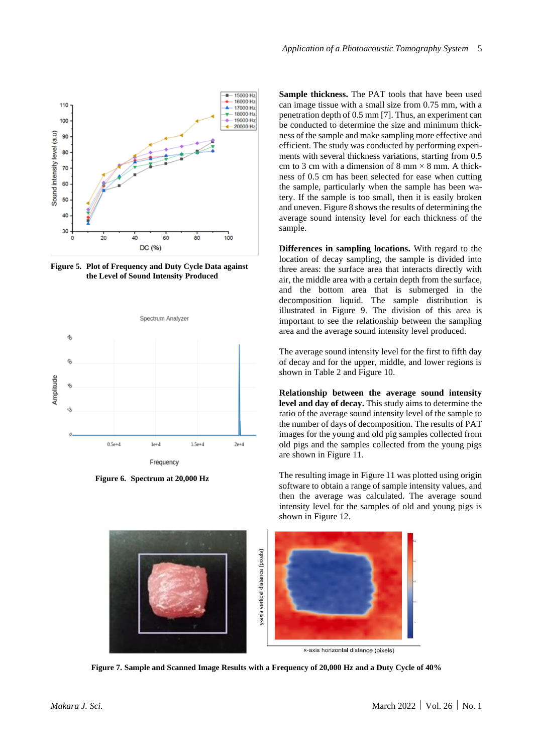

**Figure 5. Plot of Frequency and Duty Cycle Data against the Level of Sound Intensity Produced**



**Figure 6. Spectrum at 20,000 Hz**

**Sample thickness.** The PAT tools that have been used can image tissue with a small size from 0.75 mm, with a penetration depth of 0.5 mm [7]. Thus, an experiment can be conducted to determine the size and minimum thickness of the sample and make sampling more effective and efficient. The study was conducted by performing experiments with several thickness variations, starting from 0.5 cm to 3 cm with a dimension of 8 mm  $\times$  8 mm. A thickness of 0.5 cm has been selected for ease when cutting the sample, particularly when the sample has been watery. If the sample is too small, then it is easily broken and uneven. Figure 8 shows the results of determining the average sound intensity level for each thickness of the sample.

**Differences in sampling locations.** With regard to the location of decay sampling, the sample is divided into three areas: the surface area that interacts directly with air, the middle area with a certain depth from the surface, and the bottom area that is submerged in the decomposition liquid. The sample distribution is illustrated in Figure 9. The division of this area is important to see the relationship between the sampling area and the average sound intensity level produced.

The average sound intensity level for the first to fifth day of decay and for the upper, middle, and lower regions is shown in Table 2 and Figure 10.

**Relationship between the average sound intensity level and day of decay.** This study aims to determine the ratio of the average sound intensity level of the sample to the number of days of decomposition. The results of PAT images for the young and old pig samples collected from old pigs and the samples collected from the young pigs are shown in Figure 11.

The resulting image in Figure 11 was plotted using origin software to obtain a range of sample intensity values, and then the average was calculated. The average sound intensity level for the samples of old and young pigs is shown in Figure 12.



**Figure 7. Sample and Scanned Image Results with a Frequency of 20,000 Hz and a Duty Cycle of 40%**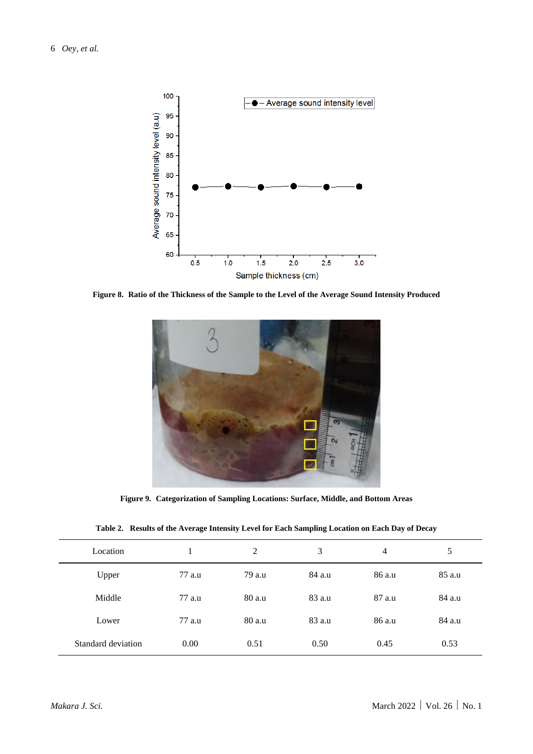

**Figure 8. Ratio of the Thickness of the Sample to the Level of the Average Sound Intensity Produced**



**Figure 9. Categorization of Sampling Locations: Surface, Middle, and Bottom Areas**

| Table 2. Results of the Average Intensity Level for Each Sampling Location on Each Day of Decay |  |  |
|-------------------------------------------------------------------------------------------------|--|--|
|                                                                                                 |  |  |

| Location           |        | 2      | 3      | $\overline{4}$ | 5      |
|--------------------|--------|--------|--------|----------------|--------|
| Upper              | 77 a.u | 79 a.u | 84 a.u | 86 a.u         | 85 a.u |
| Middle             | 77 a.u | 80 a.u | 83 a.u | 87 a.u         | 84 a.u |
| Lower              | 77 a.u | 80 a.u | 83 a.u | 86 a.u         | 84 a.u |
| Standard deviation | 0.00   | 0.51   | 0.50   | 0.45           | 0.53   |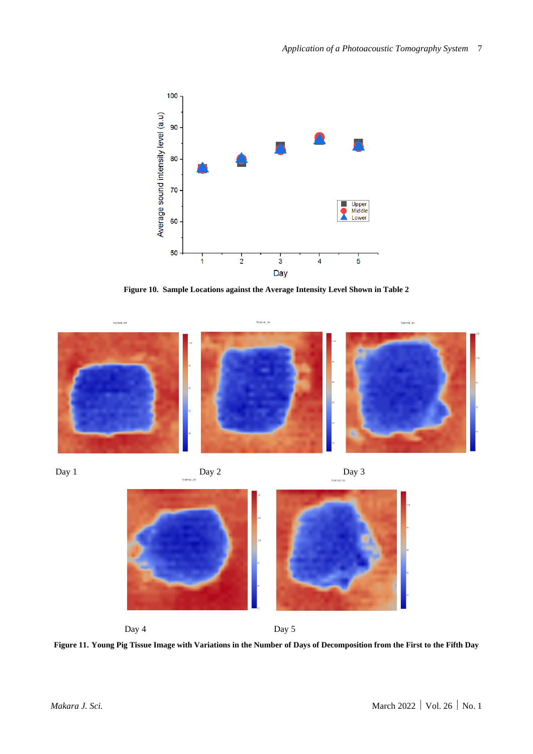

**Figure 10. Sample Locations against the Average Intensity Level Shown in Table 2**









**Figure 11. Young Pig Tissue Image with Variations in the Number of Days of Decomposition from the First to the Fifth Day**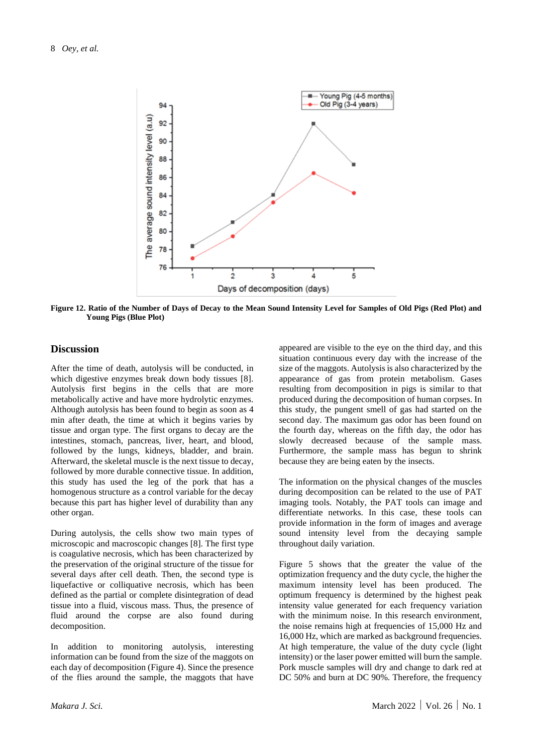

**Figure 12. Ratio of the Number of Days of Decay to the Mean Sound Intensity Level for Samples of Old Pigs (Red Plot) and Young Pigs (Blue Plot)**

#### **Discussion**

After the time of death, autolysis will be conducted, in which digestive enzymes break down body tissues [8]. Autolysis first begins in the cells that are more metabolically active and have more hydrolytic enzymes. Although autolysis has been found to begin as soon as 4 min after death, the time at which it begins varies by tissue and organ type. The first organs to decay are the intestines, stomach, pancreas, liver, heart, and blood, followed by the lungs, kidneys, bladder, and brain. Afterward, the skeletal muscle is the next tissue to decay, followed by more durable connective tissue. In addition, this study has used the leg of the pork that has a homogenous structure as a control variable for the decay because this part has higher level of durability than any other organ.

During autolysis, the cells show two main types of microscopic and macroscopic changes [8]. The first type is coagulative necrosis, which has been characterized by the preservation of the original structure of the tissue for several days after cell death. Then, the second type is liquefactive or colliquative necrosis, which has been defined as the partial or complete disintegration of dead tissue into a fluid, viscous mass. Thus, the presence of fluid around the corpse are also found during decomposition.

In addition to monitoring autolysis, interesting information can be found from the size of the maggots on each day of decomposition (Figure 4). Since the presence of the flies around the sample, the maggots that have

appeared are visible to the eye on the third day, and this situation continuous every day with the increase of the size of the maggots. Autolysis is also characterized by the appearance of gas from protein metabolism. Gases resulting from decomposition in pigs is similar to that produced during the decomposition of human corpses. In this study, the pungent smell of gas had started on the second day. The maximum gas odor has been found on the fourth day, whereas on the fifth day, the odor has slowly decreased because of the sample mass. Furthermore, the sample mass has begun to shrink because they are being eaten by the insects.

The information on the physical changes of the muscles during decomposition can be related to the use of PAT imaging tools. Notably, the PAT tools can image and differentiate networks. In this case, these tools can provide information in the form of images and average sound intensity level from the decaying sample throughout daily variation.

Figure 5 shows that the greater the value of the optimization frequency and the duty cycle, the higher the maximum intensity level has been produced. The optimum frequency is determined by the highest peak intensity value generated for each frequency variation with the minimum noise. In this research environment, the noise remains high at frequencies of 15,000 Hz and 16,000 Hz, which are marked as background frequencies. At high temperature, the value of the duty cycle (light intensity) or the laser power emitted will burn the sample. Pork muscle samples will dry and change to dark red at DC 50% and burn at DC 90%. Therefore, the frequency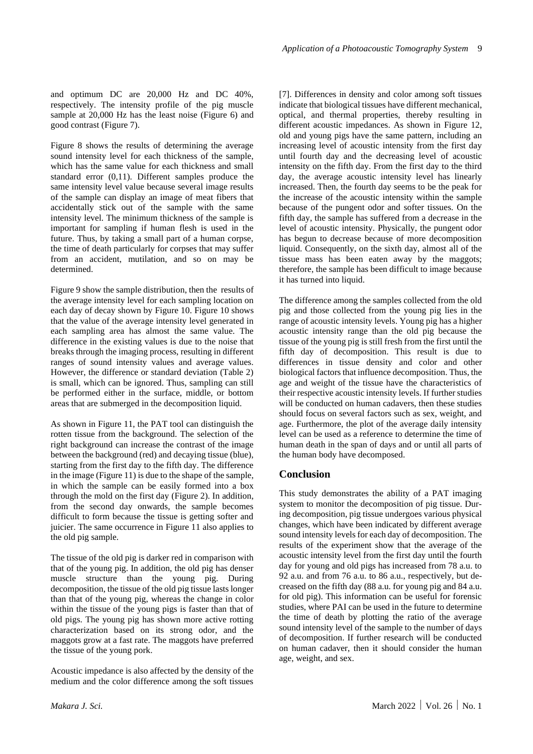Figure 8 shows the results of determining the average sound intensity level for each thickness of the sample, which has the same value for each thickness and small standard error (0,11). Different samples produce the same intensity level value because several image results of the sample can display an image of meat fibers that accidentally stick out of the sample with the same intensity level. The minimum thickness of the sample is important for sampling if human flesh is used in the future. Thus, by taking a small part of a human corpse, the time of death particularly for corpses that may suffer from an accident, mutilation, and so on may be determined.

Figure 9 show the sample distribution, then the results of the average intensity level for each sampling location on each day of decay shown by Figure 10. Figure 10 shows that the value of the average intensity level generated in each sampling area has almost the same value. The difference in the existing values is due to the noise that breaks through the imaging process, resulting in different ranges of sound intensity values and average values. However, the difference or standard deviation (Table 2) is small, which can be ignored. Thus, sampling can still be performed either in the surface, middle, or bottom areas that are submerged in the decomposition liquid.

As shown in Figure 11, the PAT tool can distinguish the rotten tissue from the background. The selection of the right background can increase the contrast of the image between the background (red) and decaying tissue (blue), starting from the first day to the fifth day. The difference in the image (Figure 11) is due to the shape of the sample, in which the sample can be easily formed into a box through the mold on the first day (Figure 2). In addition, from the second day onwards, the sample becomes difficult to form because the tissue is getting softer and juicier. The same occurrence in Figure 11 also applies to the old pig sample.

The tissue of the old pig is darker red in comparison with that of the young pig. In addition, the old pig has denser muscle structure than the young pig. During decomposition, the tissue of the old pig tissue lasts longer than that of the young pig, whereas the change in color within the tissue of the young pigs is faster than that of old pigs. The young pig has shown more active rotting characterization based on its strong odor, and the maggots grow at a fast rate. The maggots have preferred the tissue of the young pork.

Acoustic impedance is also affected by the density of the medium and the color difference among the soft tissues

[7]. Differences in density and color among soft tissues indicate that biological tissues have different mechanical, optical, and thermal properties, thereby resulting in different acoustic impedances. As shown in Figure 12, old and young pigs have the same pattern, including an increasing level of acoustic intensity from the first day until fourth day and the decreasing level of acoustic intensity on the fifth day. From the first day to the third day, the average acoustic intensity level has linearly increased. Then, the fourth day seems to be the peak for the increase of the acoustic intensity within the sample because of the pungent odor and softer tissues. On the fifth day, the sample has suffered from a decrease in the level of acoustic intensity. Physically, the pungent odor has begun to decrease because of more decomposition liquid. Consequently, on the sixth day, almost all of the tissue mass has been eaten away by the maggots; therefore, the sample has been difficult to image because it has turned into liquid.

The difference among the samples collected from the old pig and those collected from the young pig lies in the range of acoustic intensity levels. Young pig has a higher acoustic intensity range than the old pig because the tissue of the young pig is still fresh from the first until the fifth day of decomposition. This result is due to differences in tissue density and color and other biological factors that influence decomposition. Thus, the age and weight of the tissue have the characteristics of their respective acoustic intensity levels. If further studies will be conducted on human cadavers, then these studies should focus on several factors such as sex, weight, and age. Furthermore, the plot of the average daily intensity level can be used as a reference to determine the time of human death in the span of days and or until all parts of the human body have decomposed.

#### **Conclusion**

This study demonstrates the ability of a PAT imaging system to monitor the decomposition of pig tissue. During decomposition, pig tissue undergoes various physical changes, which have been indicated by different average sound intensity levels for each day of decomposition. The results of the experiment show that the average of the acoustic intensity level from the first day until the fourth day for young and old pigs has increased from 78 a.u. to 92 a.u. and from 76 a.u. to 86 a.u., respectively, but decreased on the fifth day (88 a.u. for young pig and 84 a.u. for old pig). This information can be useful for forensic studies, where PAI can be used in the future to determine the time of death by plotting the ratio of the average sound intensity level of the sample to the number of days of decomposition. If further research will be conducted on human cadaver, then it should consider the human age, weight, and sex.